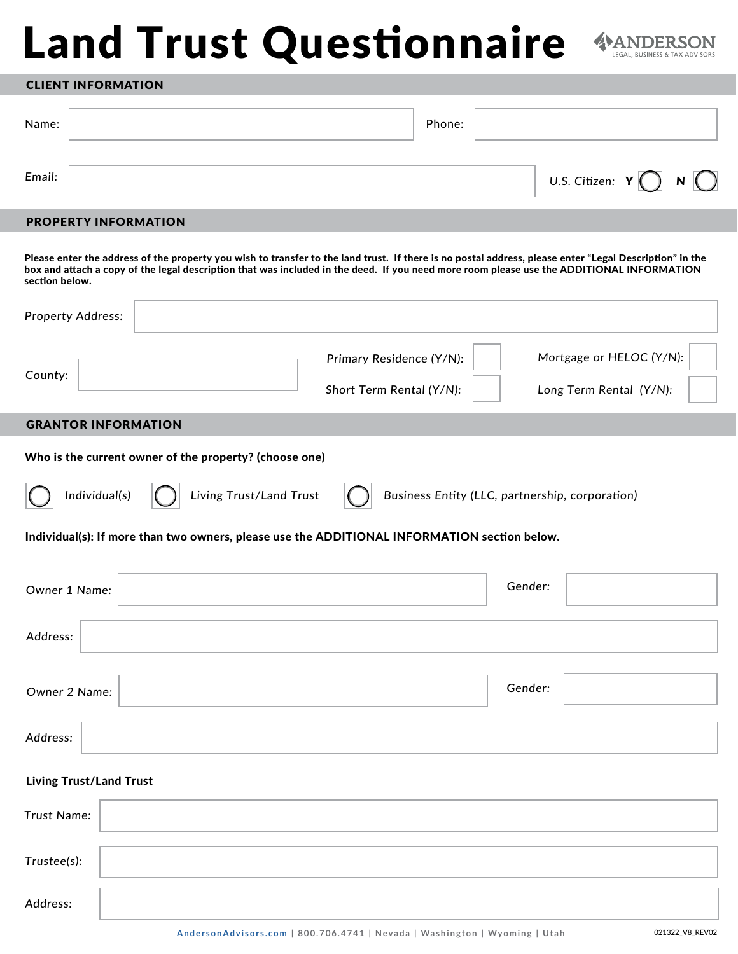# Land Trust Questionnaire



## CLIENT INFORMATION

| Name:  | Phone: |                                           |  |
|--------|--------|-------------------------------------------|--|
| Email: |        | U.S. Citizen: $Y$ $\bigcap$ $N$ $\bigcap$ |  |

# PROPERTY INFORMATION

Please enter the address of the property you wish to transfer to the land trust. If there is no postal address, please enter "Legal Description" in the box and attach a copy of the legal description that was included in the deed. If you need more room please use the ADDITIONAL INFORMATION section below.

| <b>Property Address:</b>                                                                     |                                                      |         |                                                     |
|----------------------------------------------------------------------------------------------|------------------------------------------------------|---------|-----------------------------------------------------|
| County:                                                                                      | Primary Residence (Y/N):<br>Short Term Rental (Y/N): |         | Mortgage or HELOC (Y/N):<br>Long Term Rental (Y/N): |
| <b>GRANTOR INFORMATION</b>                                                                   |                                                      |         |                                                     |
| Who is the current owner of the property? (choose one)                                       |                                                      |         |                                                     |
| Living Trust/Land Trust<br>Individual(s)                                                     | Business Entity (LLC, partnership, corporation)      |         |                                                     |
| Individual(s): If more than two owners, please use the ADDITIONAL INFORMATION section below. |                                                      |         |                                                     |
|                                                                                              |                                                      |         |                                                     |
| Owner 1 Name:                                                                                |                                                      | Gender: |                                                     |
| Address:                                                                                     |                                                      |         |                                                     |
| Owner 2 Name:                                                                                |                                                      | Gender: |                                                     |
| Address:                                                                                     |                                                      |         |                                                     |
| <b>Living Trust/Land Trust</b>                                                               |                                                      |         |                                                     |
| Trust Name:                                                                                  |                                                      |         |                                                     |
| Trustee(s):                                                                                  |                                                      |         |                                                     |
| Address:                                                                                     |                                                      |         |                                                     |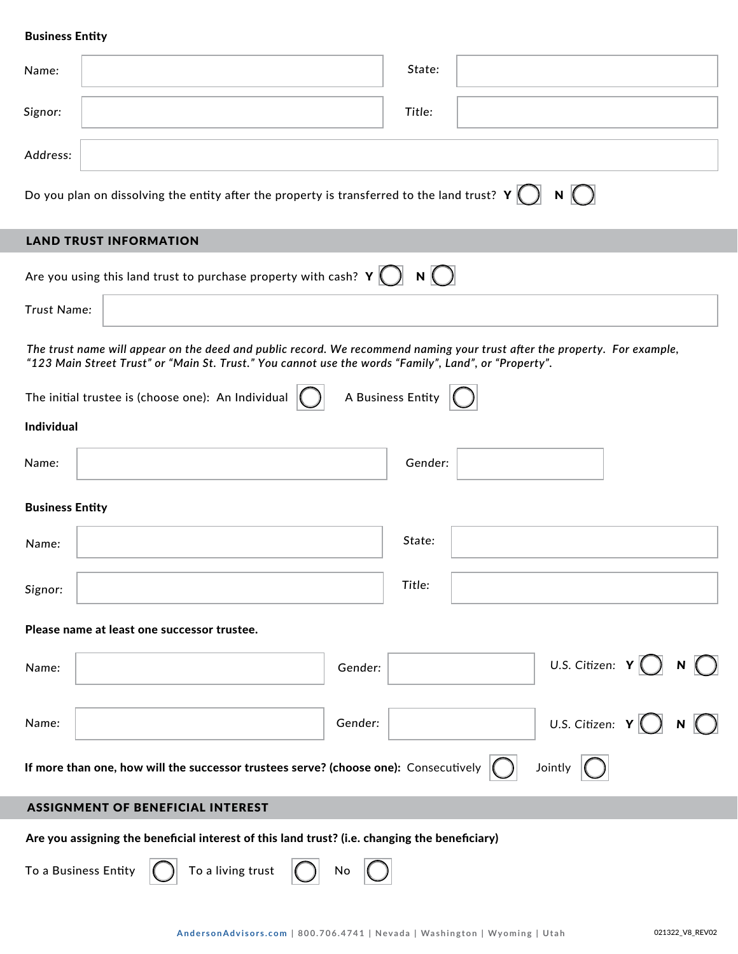## Business Entity

| Name:                  |                                                                                                                                                                                                                                    | State:            |                                           |
|------------------------|------------------------------------------------------------------------------------------------------------------------------------------------------------------------------------------------------------------------------------|-------------------|-------------------------------------------|
| Signor:                |                                                                                                                                                                                                                                    | Title:            |                                           |
| Address:               |                                                                                                                                                                                                                                    |                   |                                           |
|                        | Do you plan on dissolving the entity after the property is transferred to the land trust? $\mathsf{Y}\bigcirc \mathsf{N}\bigcirc$                                                                                                  |                   |                                           |
|                        | <b>LAND TRUST INFORMATION</b>                                                                                                                                                                                                      |                   |                                           |
|                        | Are you using this land trust to purchase property with cash? $Y$ $\bigcirc$ $N$ $\bigcirc$                                                                                                                                        |                   |                                           |
| Trust Name:            |                                                                                                                                                                                                                                    |                   |                                           |
|                        | The trust name will appear on the deed and public record. We recommend naming your trust after the property. For example,<br>"123 Main Street Trust" or "Main St. Trust." You cannot use the words "Family", Land", or "Property". |                   |                                           |
|                        | The initial trustee is (choose one): An Individual                                                                                                                                                                                 | A Business Entity |                                           |
| Individual             |                                                                                                                                                                                                                                    |                   |                                           |
| Name:                  |                                                                                                                                                                                                                                    | Gender:           |                                           |
| <b>Business Entity</b> |                                                                                                                                                                                                                                    |                   |                                           |
| Name:                  |                                                                                                                                                                                                                                    | State:            |                                           |
| Signor:                |                                                                                                                                                                                                                                    | Title:            |                                           |
|                        | Please name at least one successor trustee.                                                                                                                                                                                        |                   |                                           |
| Name:                  | Gender:                                                                                                                                                                                                                            |                   | U.S. Citizen: $Y() N()$                   |
| Name:                  | Gender:                                                                                                                                                                                                                            |                   | U.S. Citizen: $Y$ $\bigcap$ $N$ $\bigcap$ |
|                        | If more than one, how will the successor trustees serve? (choose one): Consecutively $ $                                                                                                                                           |                   | Jointly                                   |
|                        | <b>ASSIGNMENT OF BENEFICIAL INTEREST</b>                                                                                                                                                                                           |                   |                                           |
|                        | Are you assigning the beneficial interest of this land trust? (i.e. changing the beneficiary)                                                                                                                                      |                   |                                           |
|                        | To a Business Entity<br>To a living trust<br>No                                                                                                                                                                                    |                   |                                           |